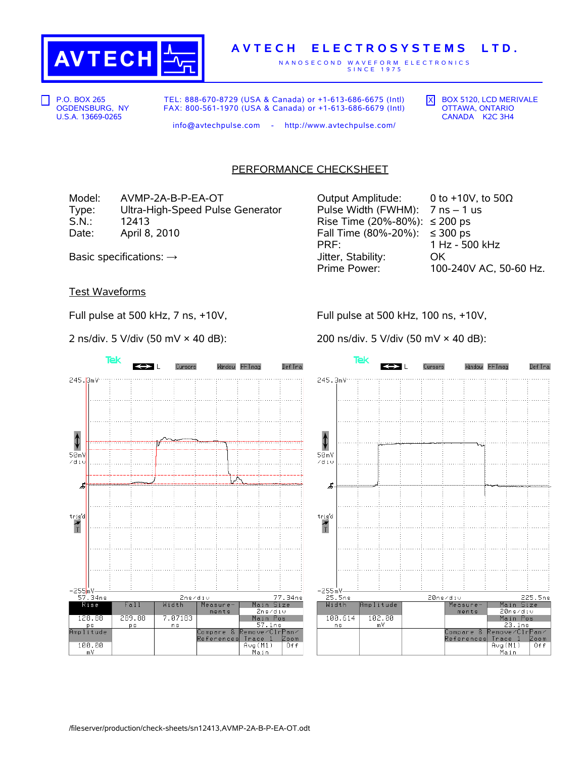

## **A V T E C H E L E C T R O S Y S T E M S L T D .**

N A N O S E C O N D W A V E F O R M E L E C T R O N I C S S I N C E 1 9 7 5

P.O. BOX 265 OGDENSBURG, NY U.S.A. 13669-0265

TEL: 888-670-8729 (USA & Canada) or +1-613-686-6675 (Intl) FAX: 800-561-1970 (USA & Canada) or +1-613-686-6679 (Intl)  $\overline{X}$  BOX 5120, LCD MERIVALE OTTAWA, ONTARIO CANADA K2C 3H4

Window FFTmag

Def Tra

info@avtechpulse.com - http://www.avtechpulse.com/

## PERFORMANCE CHECKSHEET

Model: AVMP-2A-B-P-EA-OT Output Amplitude: 0 to +10V, to 50Ω Type: Ultra-High-Speed Pulse Generator Pulse Width (FWHM): 7 ns – 1 us S.N.: 12413 Rise Time (20%-80%): ≤ 200 ps Date: April 8, 2010  $\blacksquare$  Fall Time (80%-20%): ≤ 300 ps

PRF: 1 Hz - 500 kHz Basic specifications: →  $\longrightarrow$  Jitter, Stability: OK Prime Power: 100-240V AC, 50-60 Hz.

Cursors

Test Waveforms

Full pulse at 500 kHz, 7 ns, +10V,

2 ns/div. 5 V/div (50 mV × 40 dB):

Full pulse at 500 kHz, 100 ns, +10V,

200 ns/div. 5 V/div (50 mV × 40 dB):

Tek



 $\pmb{\downarrow}$  $50mV$  $z$ dit 虏  $trig'd$  $\frac{1}{T}$ –255mV—<br>25.5ns 225.5ns 20ns/div Width Main Size mplitude Measure ments 20ns⁄di∪ 102.00 100.614 Main Pos <mark>23.1ns</mark><br>≀emove⁄Clr<mark>Pan⁄</mark> ns −m∀ .<br>Compare &<br>References Zoom Trace 1 Avg(M1)<br>Main  $0<sub>f</sub>$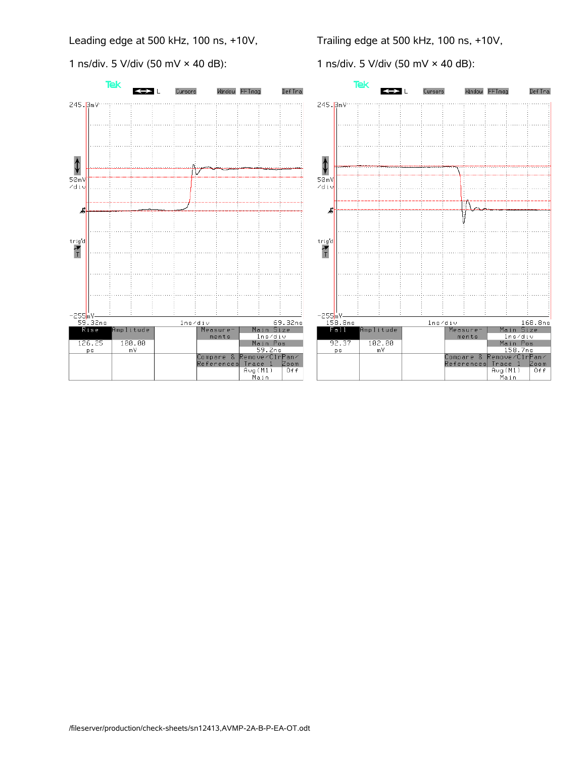Leading edge at 500 kHz, 100 ns, +10V,

1 ns/div. 5 V/div (50 mV × 40 dB):

Trailing edge at 500 kHz, 100 ns, +10V,

1 ns/div. 5 V/div (50 mV × 40 dB):